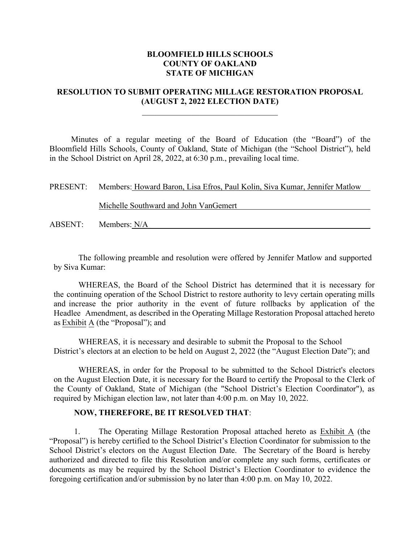# **BLOOMFIELD HILLS SCHOOLS COUNTY OF OAKLAND STATE OF MICHIGAN**

# **RESOLUTION TO SUBMIT OPERATING MILLAGE RESTORATION PROPOSAL (AUGUST 2, 2022 ELECTION DATE)**

 $\overline{\phantom{a}}$ 

Minutes of a regular meeting of the Board of Education (the "Board") of the Bloomfield Hills Schools, County of Oakland, State of Michigan (the "School District"), held in the School District on April 28, 2022, at 6:30 p.m., prevailing local time.

| PRESENT: | Members: Howard Baron, Lisa Efros, Paul Kolin, Siva Kumar, Jennifer Matlow |  |
|----------|----------------------------------------------------------------------------|--|
|          |                                                                            |  |
|          | Michelle Southward and John VanGemert                                      |  |
|          |                                                                            |  |
| ABSENT:  | Members: N/A                                                               |  |

The following preamble and resolution were offered by Jennifer Matlow and supported by Siva Kumar:

WHEREAS, the Board of the School District has determined that it is necessary for the continuing operation of the School District to restore authority to levy certain operating mills and increase the prior authority in the event of future rollbacks by application of the Headlee Amendment, as described in the Operating Millage Restoration Proposal attached hereto as Exhibit A (the "Proposal"); and

WHEREAS, it is necessary and desirable to submit the Proposal to the School District's electors at an election to be held on August 2, 2022 (the "August Election Date"); and

WHEREAS, in order for the Proposal to be submitted to the School District's electors on the August Election Date, it is necessary for the Board to certify the Proposal to the Clerk of the County of Oakland, State of Michigan (the "School District's Election Coordinator"), as required by Michigan election law, not later than 4:00 p.m. on May 10, 2022.

## **NOW, THEREFORE, BE IT RESOLVED THAT**:

1. The Operating Millage Restoration Proposal attached hereto as Exhibit A (the "Proposal") is hereby certified to the School District's Election Coordinator for submission to the School District's electors on the August Election Date. The Secretary of the Board is hereby authorized and directed to file this Resolution and/or complete any such forms, certificates or documents as may be required by the School District's Election Coordinator to evidence the foregoing certification and/or submission by no later than 4:00 p.m. on May 10, 2022.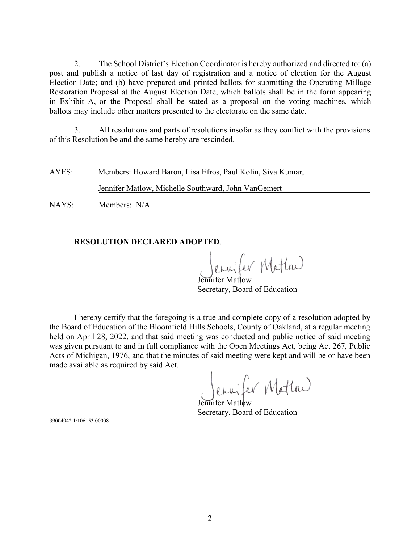2. The School District's Election Coordinator is hereby authorized and directed to: (a) post and publish a notice of last day of registration and a notice of election for the August Election Date; and (b) have prepared and printed ballots for submitting the Operating Millage Restoration Proposal at the August Election Date, which ballots shall be in the form appearing in Exhibit A, or the Proposal shall be stated as a proposal on the voting machines, which ballots may include other matters presented to the electorate on the same date.

3. All resolutions and parts of resolutions insofar as they conflict with the provisions of this Resolution be and the same hereby are rescinded.

| Members: Howard Baron, Lisa Efros, Paul Kolin, Siva Kumar,<br>AYES: |
|---------------------------------------------------------------------|
|---------------------------------------------------------------------|

Jennifer Matlow, Michelle Southward, John VanGemert

NAYS: Members: N/A

# **RESOLUTION DECLARED ADOPTED**.

enuiter Mattra

Jennifer Matlow Secretary, Board of Education

I hereby certify that the foregoing is a true and complete copy of a resolution adopted by the Board of Education of the Bloomfield Hills Schools, County of Oakland, at a regular meeting held on April 28, 2022, and that said meeting was conducted and public notice of said meeting was given pursuant to and in full compliance with the Open Meetings Act, being Act 267, Public Acts of Michigan, 1976, and that the minutes of said meeting were kept and will be or have been made available as required by said Act.

envifer Mattre

Jennifer Matlow Secretary, Board of Education

39004942.1/106153.00008